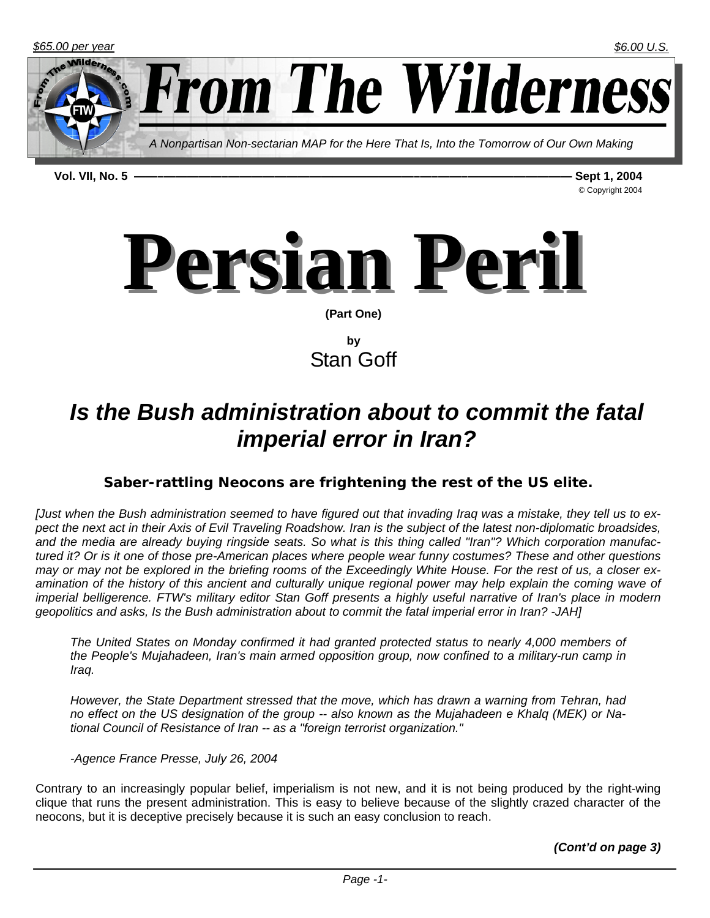

**Vol. VII, No. 5 ——–—————–————————————————–—–——–————————— Sept 1, 2004** 

© Copyright 2004



**by**  Stan Goff

# *Is the Bush administration about to commit the fatal imperial error in Iran?*

## *Saber-rattling Neocons are frightening the rest of the US elite.*

*[Just when the Bush administration seemed to have figured out that invading Iraq was a mistake, they tell us to expect the next act in their Axis of Evil Traveling Roadshow. Iran is the subject of the latest non-diplomatic broadsides, and the media are already buying ringside seats. So what is this thing called "Iran"? Which corporation manufactured it? Or is it one of those pre-American places where people wear funny costumes? These and other questions may or may not be explored in the briefing rooms of the Exceedingly White House. For the rest of us, a closer ex*amination of the history of this ancient and culturally unique regional power may help explain the coming wave of *imperial belligerence. FTW's military editor Stan Goff presents a highly useful narrative of Iran's place in modern geopolitics and asks, Is the Bush administration about to commit the fatal imperial error in Iran? -JAH]*

*The United States on Monday confirmed it had granted protected status to nearly 4,000 members of the People's Mujahadeen, Iran's main armed opposition group, now confined to a military-run camp in Iraq.*

*However, the State Department stressed that the move, which has drawn a warning from Tehran, had no effect on the US designation of the group -- also known as the Mujahadeen e Khalq (MEK) or National Council of Resistance of Iran -- as a "foreign terrorist organization."* 

*-Agence France Presse, July 26, 2004*

Contrary to an increasingly popular belief, imperialism is not new, and it is not being produced by the right-wing clique that runs the present administration. This is easy to believe because of the slightly crazed character of the neocons, but it is deceptive precisely because it is such an easy conclusion to reach.

*(Cont'd on page 3)*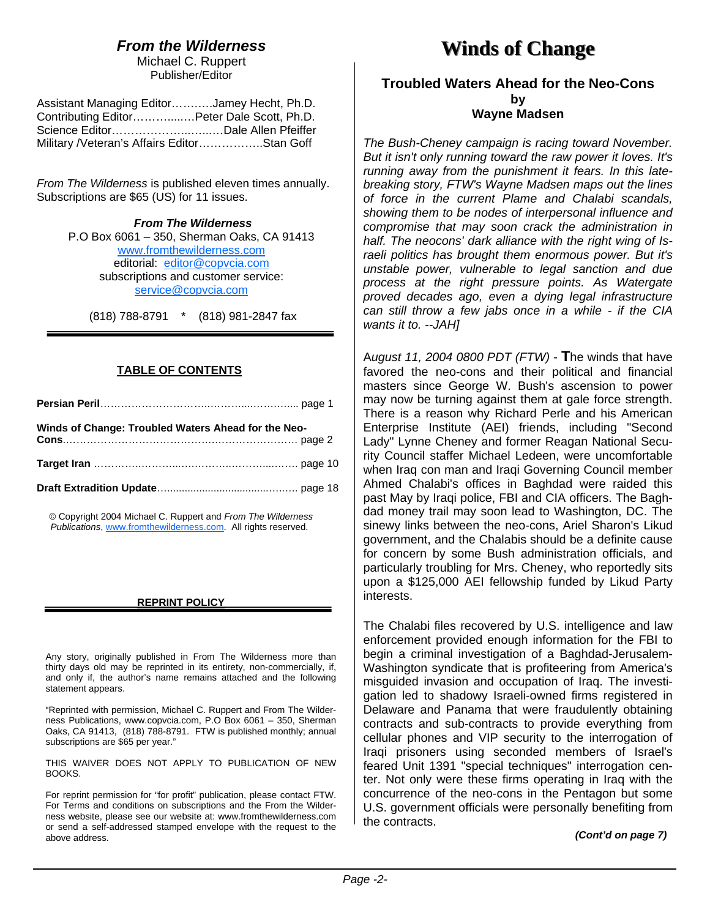## *From the Wilderness*

Michael C. Ruppert Publisher/Editor

| Assistant Managing EditorJamey Hecht, Ph.D. |  |
|---------------------------------------------|--|
| Contributing EditorPeter Dale Scott, Ph.D.  |  |
|                                             |  |
| Military /Veteran's Affairs EditorStan Goff |  |

*From The Wilderness* is published eleven times annually. Subscriptions are \$65 (US) for 11 issues.

> *From The Wilderness*  P.O Box 6061 – 350, Sherman Oaks, CA 91413 www.fromthewilderness.com editorial: editor@copvcia.com subscriptions and customer service: service@copvcia.com

(818) 788-8791 \* (818) 981-2847 fax

#### **TABLE OF CONTENTS**

| Winds of Change: Troubled Waters Ahead for the Neo- |  |
|-----------------------------------------------------|--|
|                                                     |  |
|                                                     |  |

© Copyright 2004 Michael C. Ruppert and *From The Wilderness Publications*, www.fromthewilderness.com. All rights reserved.

#### **REPRINT POLICY**

Any story, originally published in From The Wilderness more than thirty days old may be reprinted in its entirety, non-commercially, if, and only if, the author's name remains attached and the following statement appears.

"Reprinted with permission, Michael C. Ruppert and From The Wilderness Publications, www.copvcia.com, P.O Box 6061 – 350, Sherman Oaks, CA 91413, (818) 788-8791. FTW is published monthly; annual subscriptions are \$65 per year."

THIS WAIVER DOES NOT APPLY TO PUBLICATION OF NEW BOOKS.

For reprint permission for "for profit" publication, please contact FTW. For Terms and conditions on subscriptions and the From the Wilderness website, please see our website at: www.fromthewilderness.com or send a self-addressed stamped envelope with the request to the above address.

## **Winds of Change Winds of Change**

#### **Troubled Waters Ahead for the Neo-Cons by Wayne Madsen**

*The Bush-Cheney campaign is racing toward November. But it isn't only running toward the raw power it loves. It's running away from the punishment it fears. In this latebreaking story, FTW's Wayne Madsen maps out the lines of force in the current Plame and Chalabi scandals, showing them to be nodes of interpersonal influence and compromise that may soon crack the administration in half. The neocons' dark alliance with the right wing of Israeli politics has brought them enormous power. But it's unstable power, vulnerable to legal sanction and due process at the right pressure points. As Watergate proved decades ago, even a dying legal infrastructure can still throw a few jabs once in a while - if the CIA wants it to. --JAH]*

A*ugust 11, 2004 0800 PDT (FTW)* - **T**he winds that have favored the neo-cons and their political and financial masters since George W. Bush's ascension to power may now be turning against them at gale force strength. There is a reason why Richard Perle and his American Enterprise Institute (AEI) friends, including "Second Lady" Lynne Cheney and former Reagan National Security Council staffer Michael Ledeen, were uncomfortable when Iraq con man and Iraqi Governing Council member Ahmed Chalabi's offices in Baghdad were raided this past May by Iraqi police, FBI and CIA officers. The Baghdad money trail may soon lead to Washington, DC. The sinewy links between the neo-cons, Ariel Sharon's Likud government, and the Chalabis should be a definite cause for concern by some Bush administration officials, and particularly troubling for Mrs. Cheney, who reportedly sits upon a \$125,000 AEI fellowship funded by Likud Party interests.

The Chalabi files recovered by U.S. intelligence and law enforcement provided enough information for the FBI to begin a criminal investigation of a Baghdad-Jerusalem-Washington syndicate that is profiteering from America's misguided invasion and occupation of Iraq. The investigation led to shadowy Israeli-owned firms registered in Delaware and Panama that were fraudulently obtaining contracts and sub-contracts to provide everything from cellular phones and VIP security to the interrogation of Iraqi prisoners using seconded members of Israel's feared Unit 1391 "special techniques" interrogation center. Not only were these firms operating in Iraq with the concurrence of the neo-cons in the Pentagon but some U.S. government officials were personally benefiting from the contracts.

#### *(Cont'd on page 7)*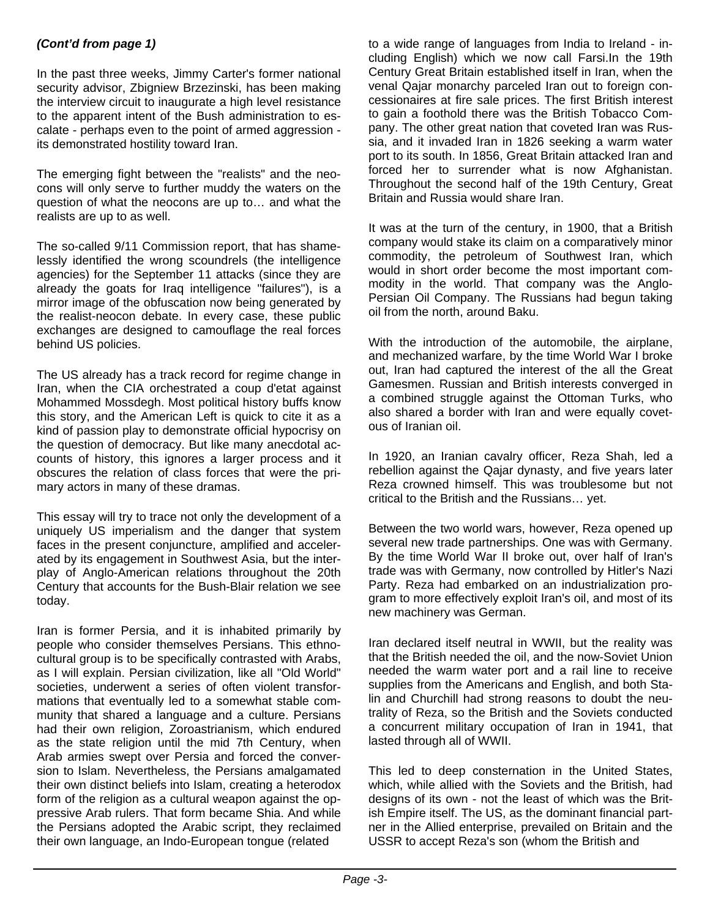#### *(Cont'd from page 1)*

In the past three weeks, Jimmy Carter's former national security advisor, Zbigniew Brzezinski, has been making the interview circuit to inaugurate a high level resistance to the apparent intent of the Bush administration to escalate - perhaps even to the point of armed aggression its demonstrated hostility toward Iran.

The emerging fight between the "realists" and the neocons will only serve to further muddy the waters on the question of what the neocons are up to… and what the realists are up to as well.

The so-called 9/11 Commission report, that has shamelessly identified the wrong scoundrels (the intelligence agencies) for the September 11 attacks (since they are already the goats for Iraq intelligence "failures"), is a mirror image of the obfuscation now being generated by the realist-neocon debate. In every case, these public exchanges are designed to camouflage the real forces behind US policies.

The US already has a track record for regime change in Iran, when the CIA orchestrated a coup d'etat against Mohammed Mossdegh. Most political history buffs know this story, and the American Left is quick to cite it as a kind of passion play to demonstrate official hypocrisy on the question of democracy. But like many anecdotal accounts of history, this ignores a larger process and it obscures the relation of class forces that were the primary actors in many of these dramas.

This essay will try to trace not only the development of a uniquely US imperialism and the danger that system faces in the present conjuncture, amplified and accelerated by its engagement in Southwest Asia, but the interplay of Anglo-American relations throughout the 20th Century that accounts for the Bush-Blair relation we see today.

Iran is former Persia, and it is inhabited primarily by people who consider themselves Persians. This ethnocultural group is to be specifically contrasted with Arabs, as I will explain. Persian civilization, like all "Old World" societies, underwent a series of often violent transformations that eventually led to a somewhat stable community that shared a language and a culture. Persians had their own religion, Zoroastrianism, which endured as the state religion until the mid 7th Century, when Arab armies swept over Persia and forced the conversion to Islam. Nevertheless, the Persians amalgamated their own distinct beliefs into Islam, creating a heterodox form of the religion as a cultural weapon against the oppressive Arab rulers. That form became Shia. And while the Persians adopted the Arabic script, they reclaimed their own language, an Indo-European tongue (related

to a wide range of languages from India to Ireland - including English) which we now call Farsi.In the 19th Century Great Britain established itself in Iran, when the venal Qajar monarchy parceled Iran out to foreign concessionaires at fire sale prices. The first British interest to gain a foothold there was the British Tobacco Company. The other great nation that coveted Iran was Russia, and it invaded Iran in 1826 seeking a warm water port to its south. In 1856, Great Britain attacked Iran and forced her to surrender what is now Afghanistan. Throughout the second half of the 19th Century, Great Britain and Russia would share Iran.

It was at the turn of the century, in 1900, that a British company would stake its claim on a comparatively minor commodity, the petroleum of Southwest Iran, which would in short order become the most important commodity in the world. That company was the Anglo-Persian Oil Company. The Russians had begun taking oil from the north, around Baku.

With the introduction of the automobile, the airplane, and mechanized warfare, by the time World War I broke out, Iran had captured the interest of the all the Great Gamesmen. Russian and British interests converged in a combined struggle against the Ottoman Turks, who also shared a border with Iran and were equally covetous of Iranian oil.

In 1920, an Iranian cavalry officer, Reza Shah, led a rebellion against the Qajar dynasty, and five years later Reza crowned himself. This was troublesome but not critical to the British and the Russians… yet.

Between the two world wars, however, Reza opened up several new trade partnerships. One was with Germany. By the time World War II broke out, over half of Iran's trade was with Germany, now controlled by Hitler's Nazi Party. Reza had embarked on an industrialization program to more effectively exploit Iran's oil, and most of its new machinery was German.

Iran declared itself neutral in WWII, but the reality was that the British needed the oil, and the now-Soviet Union needed the warm water port and a rail line to receive supplies from the Americans and English, and both Stalin and Churchill had strong reasons to doubt the neutrality of Reza, so the British and the Soviets conducted a concurrent military occupation of Iran in 1941, that lasted through all of WWII.

This led to deep consternation in the United States, which, while allied with the Soviets and the British, had designs of its own - not the least of which was the British Empire itself. The US, as the dominant financial partner in the Allied enterprise, prevailed on Britain and the USSR to accept Reza's son (whom the British and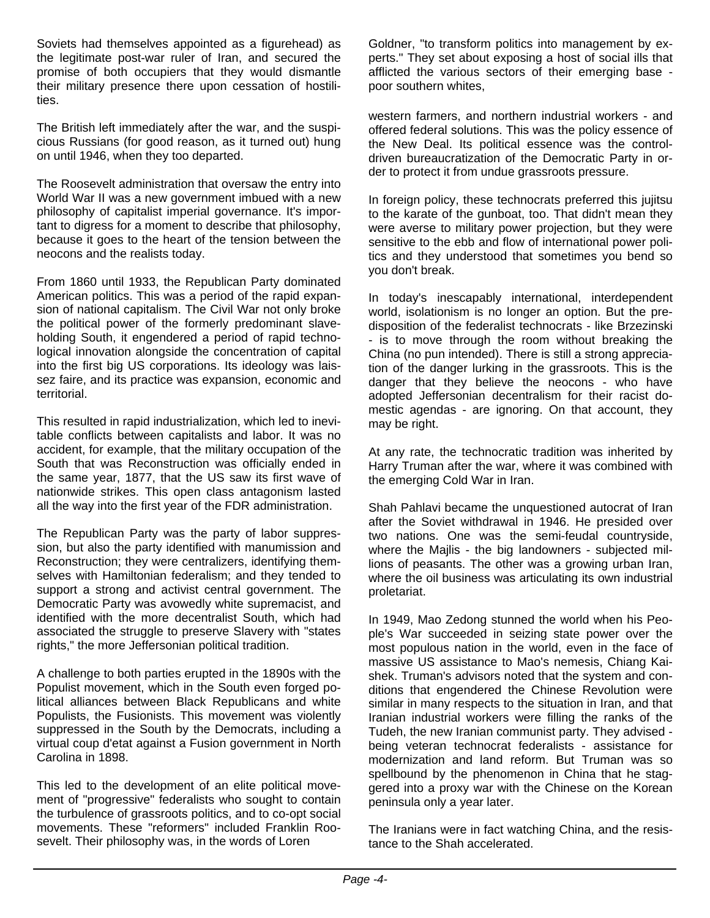Soviets had themselves appointed as a figurehead) as the legitimate post-war ruler of Iran, and secured the promise of both occupiers that they would dismantle their military presence there upon cessation of hostilities.

The British left immediately after the war, and the suspicious Russians (for good reason, as it turned out) hung on until 1946, when they too departed.

The Roosevelt administration that oversaw the entry into World War II was a new government imbued with a new philosophy of capitalist imperial governance. It's important to digress for a moment to describe that philosophy, because it goes to the heart of the tension between the neocons and the realists today.

From 1860 until 1933, the Republican Party dominated American politics. This was a period of the rapid expansion of national capitalism. The Civil War not only broke the political power of the formerly predominant slaveholding South, it engendered a period of rapid technological innovation alongside the concentration of capital into the first big US corporations. Its ideology was laissez faire, and its practice was expansion, economic and territorial.

This resulted in rapid industrialization, which led to inevitable conflicts between capitalists and labor. It was no accident, for example, that the military occupation of the South that was Reconstruction was officially ended in the same year, 1877, that the US saw its first wave of nationwide strikes. This open class antagonism lasted all the way into the first year of the FDR administration.

The Republican Party was the party of labor suppression, but also the party identified with manumission and Reconstruction; they were centralizers, identifying themselves with Hamiltonian federalism; and they tended to support a strong and activist central government. The Democratic Party was avowedly white supremacist, and identified with the more decentralist South, which had associated the struggle to preserve Slavery with "states rights," the more Jeffersonian political tradition.

A challenge to both parties erupted in the 1890s with the Populist movement, which in the South even forged political alliances between Black Republicans and white Populists, the Fusionists. This movement was violently suppressed in the South by the Democrats, including a virtual coup d'etat against a Fusion government in North Carolina in 1898.

This led to the development of an elite political movement of "progressive" federalists who sought to contain the turbulence of grassroots politics, and to co-opt social movements. These "reformers" included Franklin Roosevelt. Their philosophy was, in the words of Loren

Goldner, "to transform politics into management by experts." They set about exposing a host of social ills that afflicted the various sectors of their emerging base poor southern whites,

western farmers, and northern industrial workers - and offered federal solutions. This was the policy essence of the New Deal. Its political essence was the controldriven bureaucratization of the Democratic Party in order to protect it from undue grassroots pressure.

In foreign policy, these technocrats preferred this jujitsu to the karate of the gunboat, too. That didn't mean they were averse to military power projection, but they were sensitive to the ebb and flow of international power politics and they understood that sometimes you bend so you don't break.

In today's inescapably international, interdependent world, isolationism is no longer an option. But the predisposition of the federalist technocrats - like Brzezinski - is to move through the room without breaking the China (no pun intended). There is still a strong appreciation of the danger lurking in the grassroots. This is the danger that they believe the neocons - who have adopted Jeffersonian decentralism for their racist domestic agendas - are ignoring. On that account, they may be right.

At any rate, the technocratic tradition was inherited by Harry Truman after the war, where it was combined with the emerging Cold War in Iran.

Shah Pahlavi became the unquestioned autocrat of Iran after the Soviet withdrawal in 1946. He presided over two nations. One was the semi-feudal countryside, where the Majlis - the big landowners - subjected millions of peasants. The other was a growing urban Iran, where the oil business was articulating its own industrial proletariat.

In 1949, Mao Zedong stunned the world when his People's War succeeded in seizing state power over the most populous nation in the world, even in the face of massive US assistance to Mao's nemesis, Chiang Kaishek. Truman's advisors noted that the system and conditions that engendered the Chinese Revolution were similar in many respects to the situation in Iran, and that Iranian industrial workers were filling the ranks of the Tudeh, the new Iranian communist party. They advised being veteran technocrat federalists - assistance for modernization and land reform. But Truman was so spellbound by the phenomenon in China that he staggered into a proxy war with the Chinese on the Korean peninsula only a year later.

The Iranians were in fact watching China, and the resistance to the Shah accelerated.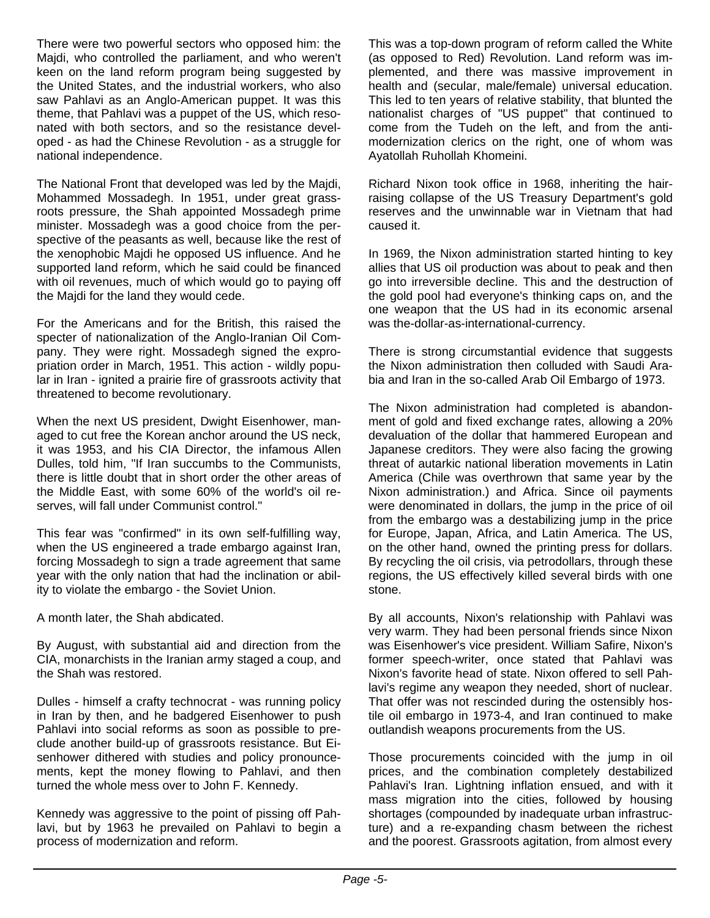There were two powerful sectors who opposed him: the Majdi, who controlled the parliament, and who weren't keen on the land reform program being suggested by the United States, and the industrial workers, who also saw Pahlavi as an Anglo-American puppet. It was this theme, that Pahlavi was a puppet of the US, which resonated with both sectors, and so the resistance developed - as had the Chinese Revolution - as a struggle for national independence.

The National Front that developed was led by the Majdi, Mohammed Mossadegh. In 1951, under great grassroots pressure, the Shah appointed Mossadegh prime minister. Mossadegh was a good choice from the perspective of the peasants as well, because like the rest of the xenophobic Majdi he opposed US influence. And he supported land reform, which he said could be financed with oil revenues, much of which would go to paying off the Majdi for the land they would cede.

For the Americans and for the British, this raised the specter of nationalization of the Anglo-Iranian Oil Company. They were right. Mossadegh signed the expropriation order in March, 1951. This action - wildly popular in Iran - ignited a prairie fire of grassroots activity that threatened to become revolutionary.

When the next US president, Dwight Eisenhower, managed to cut free the Korean anchor around the US neck, it was 1953, and his CIA Director, the infamous Allen Dulles, told him, "If Iran succumbs to the Communists, there is little doubt that in short order the other areas of the Middle East, with some 60% of the world's oil reserves, will fall under Communist control."

This fear was "confirmed" in its own self-fulfilling way, when the US engineered a trade embargo against Iran, forcing Mossadegh to sign a trade agreement that same year with the only nation that had the inclination or ability to violate the embargo - the Soviet Union.

A month later, the Shah abdicated.

By August, with substantial aid and direction from the CIA, monarchists in the Iranian army staged a coup, and the Shah was restored.

Dulles - himself a crafty technocrat - was running policy in Iran by then, and he badgered Eisenhower to push Pahlavi into social reforms as soon as possible to preclude another build-up of grassroots resistance. But Eisenhower dithered with studies and policy pronouncements, kept the money flowing to Pahlavi, and then turned the whole mess over to John F. Kennedy.

Kennedy was aggressive to the point of pissing off Pahlavi, but by 1963 he prevailed on Pahlavi to begin a process of modernization and reform.

This was a top-down program of reform called the White (as opposed to Red) Revolution. Land reform was implemented, and there was massive improvement in health and (secular, male/female) universal education. This led to ten years of relative stability, that blunted the nationalist charges of "US puppet" that continued to come from the Tudeh on the left, and from the antimodernization clerics on the right, one of whom was Ayatollah Ruhollah Khomeini.

Richard Nixon took office in 1968, inheriting the hairraising collapse of the US Treasury Department's gold reserves and the unwinnable war in Vietnam that had caused it.

In 1969, the Nixon administration started hinting to key allies that US oil production was about to peak and then go into irreversible decline. This and the destruction of the gold pool had everyone's thinking caps on, and the one weapon that the US had in its economic arsenal was the-dollar-as-international-currency.

There is strong circumstantial evidence that suggests the Nixon administration then colluded with Saudi Arabia and Iran in the so-called Arab Oil Embargo of 1973.

The Nixon administration had completed is abandonment of gold and fixed exchange rates, allowing a 20% devaluation of the dollar that hammered European and Japanese creditors. They were also facing the growing threat of autarkic national liberation movements in Latin America (Chile was overthrown that same year by the Nixon administration.) and Africa. Since oil payments were denominated in dollars, the jump in the price of oil from the embargo was a destabilizing jump in the price for Europe, Japan, Africa, and Latin America. The US, on the other hand, owned the printing press for dollars. By recycling the oil crisis, via petrodollars, through these regions, the US effectively killed several birds with one stone.

By all accounts, Nixon's relationship with Pahlavi was very warm. They had been personal friends since Nixon was Eisenhower's vice president. William Safire, Nixon's former speech-writer, once stated that Pahlavi was Nixon's favorite head of state. Nixon offered to sell Pahlavi's regime any weapon they needed, short of nuclear. That offer was not rescinded during the ostensibly hostile oil embargo in 1973-4, and Iran continued to make outlandish weapons procurements from the US.

Those procurements coincided with the jump in oil prices, and the combination completely destabilized Pahlavi's Iran. Lightning inflation ensued, and with it mass migration into the cities, followed by housing shortages (compounded by inadequate urban infrastructure) and a re-expanding chasm between the richest and the poorest. Grassroots agitation, from almost every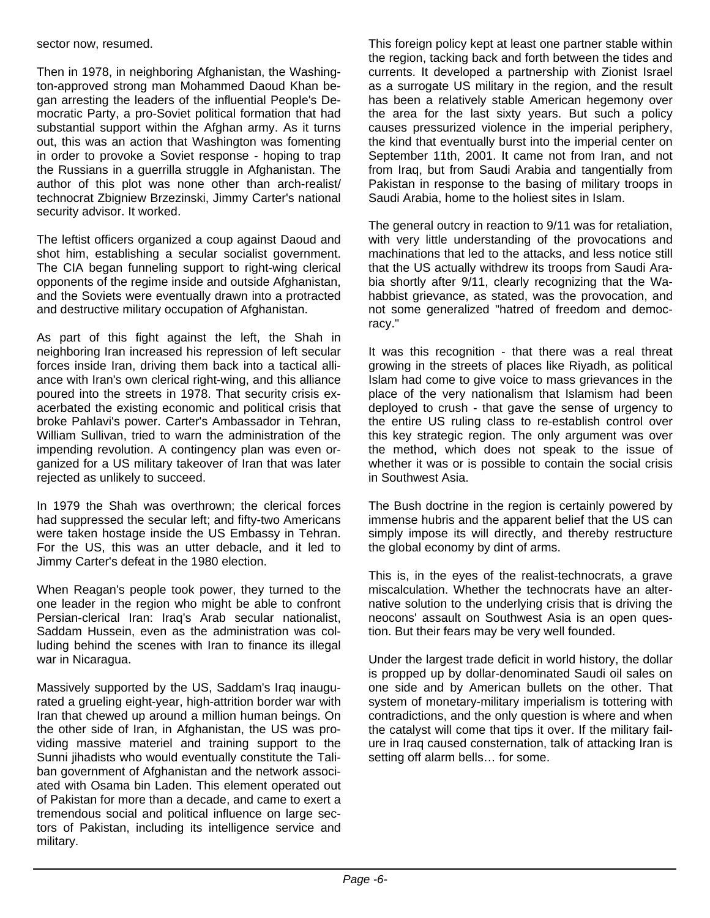sector now, resumed.

Then in 1978, in neighboring Afghanistan, the Washington-approved strong man Mohammed Daoud Khan began arresting the leaders of the influential People's Democratic Party, a pro-Soviet political formation that had substantial support within the Afghan army. As it turns out, this was an action that Washington was fomenting in order to provoke a Soviet response - hoping to trap the Russians in a guerrilla struggle in Afghanistan. The author of this plot was none other than arch-realist/ technocrat Zbigniew Brzezinski, Jimmy Carter's national security advisor. It worked.

The leftist officers organized a coup against Daoud and shot him, establishing a secular socialist government. The CIA began funneling support to right-wing clerical opponents of the regime inside and outside Afghanistan, and the Soviets were eventually drawn into a protracted and destructive military occupation of Afghanistan.

As part of this fight against the left, the Shah in neighboring Iran increased his repression of left secular forces inside Iran, driving them back into a tactical alliance with Iran's own clerical right-wing, and this alliance poured into the streets in 1978. That security crisis exacerbated the existing economic and political crisis that broke Pahlavi's power. Carter's Ambassador in Tehran, William Sullivan, tried to warn the administration of the impending revolution. A contingency plan was even organized for a US military takeover of Iran that was later rejected as unlikely to succeed.

In 1979 the Shah was overthrown; the clerical forces had suppressed the secular left; and fifty-two Americans were taken hostage inside the US Embassy in Tehran. For the US, this was an utter debacle, and it led to Jimmy Carter's defeat in the 1980 election.

When Reagan's people took power, they turned to the one leader in the region who might be able to confront Persian-clerical Iran: Iraq's Arab secular nationalist, Saddam Hussein, even as the administration was colluding behind the scenes with Iran to finance its illegal war in Nicaragua.

Massively supported by the US, Saddam's Iraq inaugurated a grueling eight-year, high-attrition border war with Iran that chewed up around a million human beings. On the other side of Iran, in Afghanistan, the US was providing massive materiel and training support to the Sunni jihadists who would eventually constitute the Taliban government of Afghanistan and the network associated with Osama bin Laden. This element operated out of Pakistan for more than a decade, and came to exert a tremendous social and political influence on large sectors of Pakistan, including its intelligence service and military.

This foreign policy kept at least one partner stable within the region, tacking back and forth between the tides and currents. It developed a partnership with Zionist Israel as a surrogate US military in the region, and the result has been a relatively stable American hegemony over the area for the last sixty years. But such a policy causes pressurized violence in the imperial periphery, the kind that eventually burst into the imperial center on September 11th, 2001. It came not from Iran, and not from Iraq, but from Saudi Arabia and tangentially from Pakistan in response to the basing of military troops in Saudi Arabia, home to the holiest sites in Islam.

The general outcry in reaction to 9/11 was for retaliation, with very little understanding of the provocations and machinations that led to the attacks, and less notice still that the US actually withdrew its troops from Saudi Arabia shortly after 9/11, clearly recognizing that the Wahabbist grievance, as stated, was the provocation, and not some generalized "hatred of freedom and democracy."

It was this recognition - that there was a real threat growing in the streets of places like Riyadh, as political Islam had come to give voice to mass grievances in the place of the very nationalism that Islamism had been deployed to crush - that gave the sense of urgency to the entire US ruling class to re-establish control over this key strategic region. The only argument was over the method, which does not speak to the issue of whether it was or is possible to contain the social crisis in Southwest Asia.

The Bush doctrine in the region is certainly powered by immense hubris and the apparent belief that the US can simply impose its will directly, and thereby restructure the global economy by dint of arms.

This is, in the eyes of the realist-technocrats, a grave miscalculation. Whether the technocrats have an alternative solution to the underlying crisis that is driving the neocons' assault on Southwest Asia is an open question. But their fears may be very well founded.

Under the largest trade deficit in world history, the dollar is propped up by dollar-denominated Saudi oil sales on one side and by American bullets on the other. That system of monetary-military imperialism is tottering with contradictions, and the only question is where and when the catalyst will come that tips it over. If the military failure in Iraq caused consternation, talk of attacking Iran is setting off alarm bells… for some.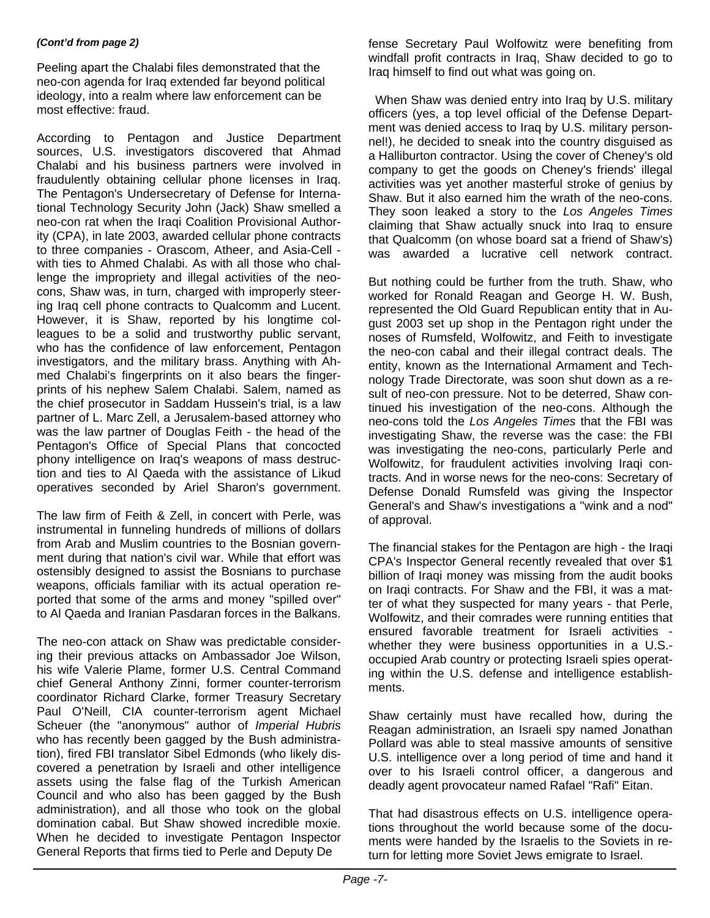#### *(Cont'd from page 2)*

Peeling apart the Chalabi files demonstrated that the neo-con agenda for Iraq extended far beyond political ideology, into a realm where law enforcement can be most effective: fraud.

According to Pentagon and Justice Department sources, U.S. investigators discovered that Ahmad Chalabi and his business partners were involved in fraudulently obtaining cellular phone licenses in Iraq. The Pentagon's Undersecretary of Defense for International Technology Security John (Jack) Shaw smelled a neo-con rat when the Iraqi Coalition Provisional Authority (CPA), in late 2003, awarded cellular phone contracts to three companies - Orascom, Atheer, and Asia-Cell with ties to Ahmed Chalabi. As with all those who challenge the impropriety and illegal activities of the neocons, Shaw was, in turn, charged with improperly steering Iraq cell phone contracts to Qualcomm and Lucent. However, it is Shaw, reported by his longtime colleagues to be a solid and trustworthy public servant, who has the confidence of law enforcement, Pentagon investigators, and the military brass. Anything with Ahmed Chalabi's fingerprints on it also bears the fingerprints of his nephew Salem Chalabi. Salem, named as the chief prosecutor in Saddam Hussein's trial, is a law partner of L. Marc Zell, a Jerusalem-based attorney who was the law partner of Douglas Feith - the head of the Pentagon's Office of Special Plans that concocted phony intelligence on Iraq's weapons of mass destruction and ties to Al Qaeda with the assistance of Likud operatives seconded by Ariel Sharon's government.

The law firm of Feith & Zell, in concert with Perle, was instrumental in funneling hundreds of millions of dollars from Arab and Muslim countries to the Bosnian government during that nation's civil war. While that effort was ostensibly designed to assist the Bosnians to purchase weapons, officials familiar with its actual operation reported that some of the arms and money "spilled over" to Al Qaeda and Iranian Pasdaran forces in the Balkans.

The neo-con attack on Shaw was predictable considering their previous attacks on Ambassador Joe Wilson, his wife Valerie Plame, former U.S. Central Command chief General Anthony Zinni, former counter-terrorism coordinator Richard Clarke, former Treasury Secretary Paul O'Neill, CIA counter-terrorism agent Michael Scheuer (the "anonymous" author of *Imperial Hubris* who has recently been gagged by the Bush administration), fired FBI translator Sibel Edmonds (who likely discovered a penetration by Israeli and other intelligence assets using the false flag of the Turkish American Council and who also has been gagged by the Bush administration), and all those who took on the global domination cabal. But Shaw showed incredible moxie. When he decided to investigate Pentagon Inspector General Reports that firms tied to Perle and Deputy De

fense Secretary Paul Wolfowitz were benefiting from windfall profit contracts in Iraq, Shaw decided to go to Iraq himself to find out what was going on.

 When Shaw was denied entry into Iraq by U.S. military officers (yes, a top level official of the Defense Department was denied access to Iraq by U.S. military personnel!), he decided to sneak into the country disguised as a Halliburton contractor. Using the cover of Cheney's old company to get the goods on Cheney's friends' illegal activities was yet another masterful stroke of genius by Shaw. But it also earned him the wrath of the neo-cons. They soon leaked a story to the *Los Angeles Times* claiming that Shaw actually snuck into Iraq to ensure that Qualcomm (on whose board sat a friend of Shaw's) was awarded a lucrative cell network contract.

But nothing could be further from the truth. Shaw, who worked for Ronald Reagan and George H. W. Bush, represented the Old Guard Republican entity that in August 2003 set up shop in the Pentagon right under the noses of Rumsfeld, Wolfowitz, and Feith to investigate the neo-con cabal and their illegal contract deals. The entity, known as the International Armament and Technology Trade Directorate, was soon shut down as a result of neo-con pressure. Not to be deterred, Shaw continued his investigation of the neo-cons. Although the neo-cons told the *Los Angeles Times* that the FBI was investigating Shaw, the reverse was the case: the FBI was investigating the neo-cons, particularly Perle and Wolfowitz, for fraudulent activities involving Iraqi contracts. And in worse news for the neo-cons: Secretary of Defense Donald Rumsfeld was giving the Inspector General's and Shaw's investigations a "wink and a nod" of approval.

The financial stakes for the Pentagon are high - the Iraqi CPA's Inspector General recently revealed that over \$1 billion of Iraqi money was missing from the audit books on Iraqi contracts. For Shaw and the FBI, it was a matter of what they suspected for many years - that Perle, Wolfowitz, and their comrades were running entities that ensured favorable treatment for Israeli activities whether they were business opportunities in a U.S. occupied Arab country or protecting Israeli spies operating within the U.S. defense and intelligence establishments.

Shaw certainly must have recalled how, during the Reagan administration, an Israeli spy named Jonathan Pollard was able to steal massive amounts of sensitive U.S. intelligence over a long period of time and hand it over to his Israeli control officer, a dangerous and deadly agent provocateur named Rafael "Rafi" Eitan.

That had disastrous effects on U.S. intelligence operations throughout the world because some of the documents were handed by the Israelis to the Soviets in return for letting more Soviet Jews emigrate to Israel.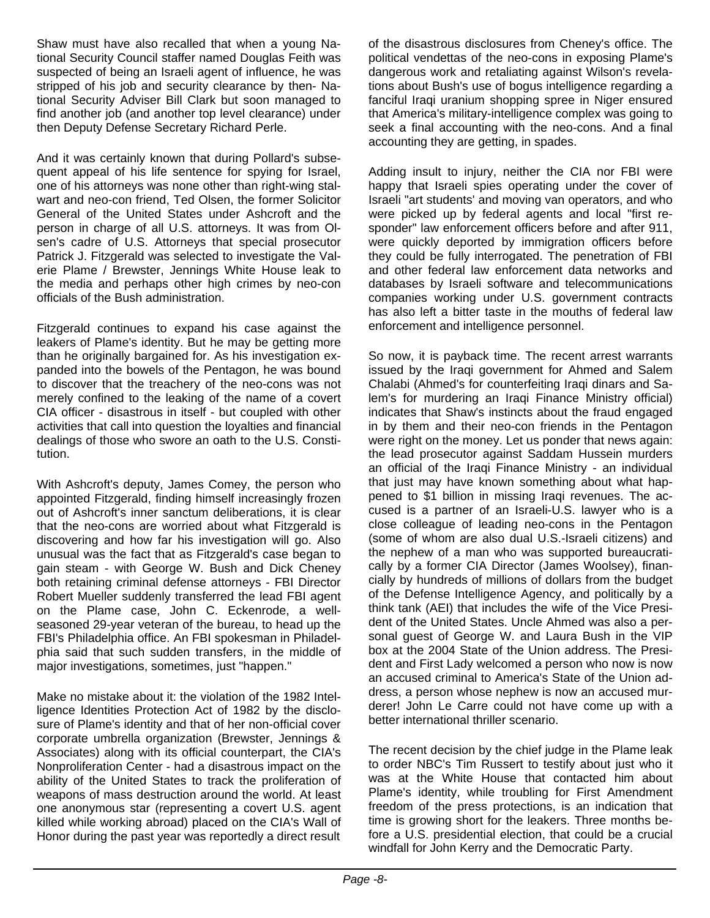Shaw must have also recalled that when a young National Security Council staffer named Douglas Feith was suspected of being an Israeli agent of influence, he was stripped of his job and security clearance by then- National Security Adviser Bill Clark but soon managed to find another job (and another top level clearance) under then Deputy Defense Secretary Richard Perle.

And it was certainly known that during Pollard's subsequent appeal of his life sentence for spying for Israel, one of his attorneys was none other than right-wing stalwart and neo-con friend, Ted Olsen, the former Solicitor General of the United States under Ashcroft and the person in charge of all U.S. attorneys. It was from Olsen's cadre of U.S. Attorneys that special prosecutor Patrick J. Fitzgerald was selected to investigate the Valerie Plame / Brewster, Jennings White House leak to the media and perhaps other high crimes by neo-con officials of the Bush administration.

Fitzgerald continues to expand his case against the leakers of Plame's identity. But he may be getting more than he originally bargained for. As his investigation expanded into the bowels of the Pentagon, he was bound to discover that the treachery of the neo-cons was not merely confined to the leaking of the name of a covert CIA officer - disastrous in itself - but coupled with other activities that call into question the loyalties and financial dealings of those who swore an oath to the U.S. Constitution.

With Ashcroft's deputy, James Comey, the person who appointed Fitzgerald, finding himself increasingly frozen out of Ashcroft's inner sanctum deliberations, it is clear that the neo-cons are worried about what Fitzgerald is discovering and how far his investigation will go. Also unusual was the fact that as Fitzgerald's case began to gain steam - with George W. Bush and Dick Cheney both retaining criminal defense attorneys - FBI Director Robert Mueller suddenly transferred the lead FBI agent on the Plame case, John C. Eckenrode, a wellseasoned 29-year veteran of the bureau, to head up the FBI's Philadelphia office. An FBI spokesman in Philadelphia said that such sudden transfers, in the middle of major investigations, sometimes, just "happen."

Make no mistake about it: the violation of the 1982 Intelligence Identities Protection Act of 1982 by the disclosure of Plame's identity and that of her non-official cover corporate umbrella organization (Brewster, Jennings & Associates) along with its official counterpart, the CIA's Nonproliferation Center - had a disastrous impact on the ability of the United States to track the proliferation of weapons of mass destruction around the world. At least one anonymous star (representing a covert U.S. agent killed while working abroad) placed on the CIA's Wall of Honor during the past year was reportedly a direct result

of the disastrous disclosures from Cheney's office. The political vendettas of the neo-cons in exposing Plame's dangerous work and retaliating against Wilson's revelations about Bush's use of bogus intelligence regarding a fanciful Iraqi uranium shopping spree in Niger ensured that America's military-intelligence complex was going to seek a final accounting with the neo-cons. And a final accounting they are getting, in spades.

Adding insult to injury, neither the CIA nor FBI were happy that Israeli spies operating under the cover of Israeli "art students' and moving van operators, and who were picked up by federal agents and local "first responder" law enforcement officers before and after 911, were quickly deported by immigration officers before they could be fully interrogated. The penetration of FBI and other federal law enforcement data networks and databases by Israeli software and telecommunications companies working under U.S. government contracts has also left a bitter taste in the mouths of federal law enforcement and intelligence personnel.

So now, it is payback time. The recent arrest warrants issued by the Iraqi government for Ahmed and Salem Chalabi (Ahmed's for counterfeiting Iraqi dinars and Salem's for murdering an Iraqi Finance Ministry official) indicates that Shaw's instincts about the fraud engaged in by them and their neo-con friends in the Pentagon were right on the money. Let us ponder that news again: the lead prosecutor against Saddam Hussein murders an official of the Iraqi Finance Ministry - an individual that just may have known something about what happened to \$1 billion in missing Iraqi revenues. The accused is a partner of an Israeli-U.S. lawyer who is a close colleague of leading neo-cons in the Pentagon (some of whom are also dual U.S.-Israeli citizens) and the nephew of a man who was supported bureaucratically by a former CIA Director (James Woolsey), financially by hundreds of millions of dollars from the budget of the Defense Intelligence Agency, and politically by a think tank (AEI) that includes the wife of the Vice President of the United States. Uncle Ahmed was also a personal guest of George W. and Laura Bush in the VIP box at the 2004 State of the Union address. The President and First Lady welcomed a person who now is now an accused criminal to America's State of the Union address, a person whose nephew is now an accused murderer! John Le Carre could not have come up with a better international thriller scenario.

The recent decision by the chief judge in the Plame leak to order NBC's Tim Russert to testify about just who it was at the White House that contacted him about Plame's identity, while troubling for First Amendment freedom of the press protections, is an indication that time is growing short for the leakers. Three months before a U.S. presidential election, that could be a crucial windfall for John Kerry and the Democratic Party.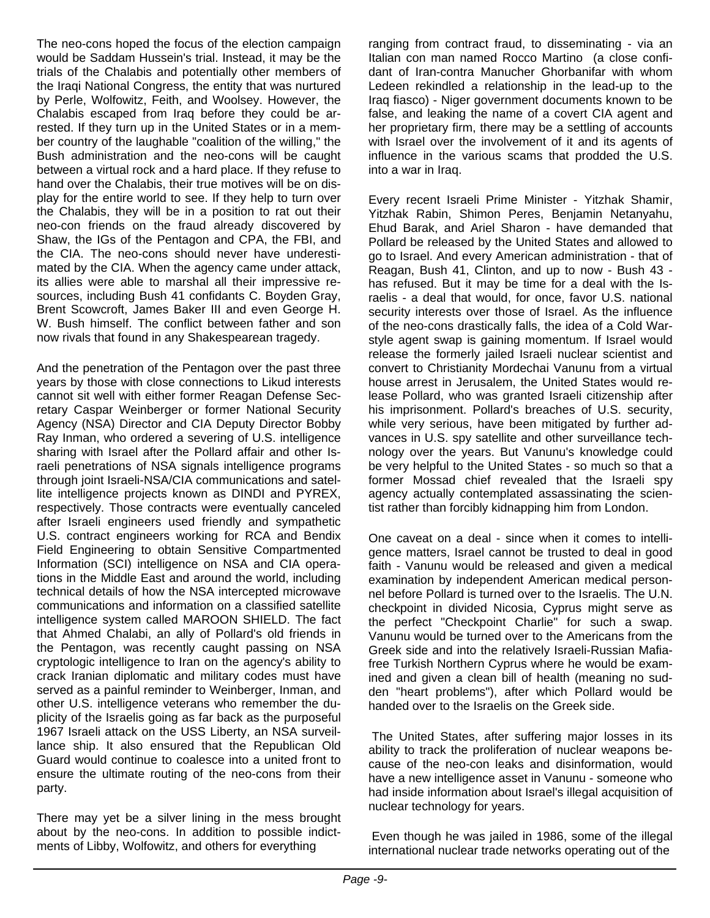The neo-cons hoped the focus of the election campaign would be Saddam Hussein's trial. Instead, it may be the trials of the Chalabis and potentially other members of the Iraqi National Congress, the entity that was nurtured by Perle, Wolfowitz, Feith, and Woolsey. However, the Chalabis escaped from Iraq before they could be arrested. If they turn up in the United States or in a member country of the laughable "coalition of the willing," the Bush administration and the neo-cons will be caught between a virtual rock and a hard place. If they refuse to hand over the Chalabis, their true motives will be on display for the entire world to see. If they help to turn over the Chalabis, they will be in a position to rat out their neo-con friends on the fraud already discovered by Shaw, the IGs of the Pentagon and CPA, the FBI, and the CIA. The neo-cons should never have underestimated by the CIA. When the agency came under attack, its allies were able to marshal all their impressive resources, including Bush 41 confidants C. Boyden Gray, Brent Scowcroft, James Baker III and even George H. W. Bush himself. The conflict between father and son now rivals that found in any Shakespearean tragedy.

And the penetration of the Pentagon over the past three years by those with close connections to Likud interests cannot sit well with either former Reagan Defense Secretary Caspar Weinberger or former National Security Agency (NSA) Director and CIA Deputy Director Bobby Ray Inman, who ordered a severing of U.S. intelligence sharing with Israel after the Pollard affair and other Israeli penetrations of NSA signals intelligence programs through joint Israeli-NSA/CIA communications and satellite intelligence projects known as DINDI and PYREX, respectively. Those contracts were eventually canceled after Israeli engineers used friendly and sympathetic U.S. contract engineers working for RCA and Bendix Field Engineering to obtain Sensitive Compartmented Information (SCI) intelligence on NSA and CIA operations in the Middle East and around the world, including technical details of how the NSA intercepted microwave communications and information on a classified satellite intelligence system called MAROON SHIELD. The fact that Ahmed Chalabi, an ally of Pollard's old friends in the Pentagon, was recently caught passing on NSA cryptologic intelligence to Iran on the agency's ability to crack Iranian diplomatic and military codes must have served as a painful reminder to Weinberger, Inman, and other U.S. intelligence veterans who remember the duplicity of the Israelis going as far back as the purposeful 1967 Israeli attack on the USS Liberty, an NSA surveillance ship. It also ensured that the Republican Old Guard would continue to coalesce into a united front to ensure the ultimate routing of the neo-cons from their party.

There may yet be a silver lining in the mess brought about by the neo-cons. In addition to possible indictments of Libby, Wolfowitz, and others for everything

ranging from contract fraud, to disseminating - via an Italian con man named Rocco Martino (a close confidant of Iran-contra Manucher Ghorbanifar with whom Ledeen rekindled a relationship in the lead-up to the Iraq fiasco) - Niger government documents known to be false, and leaking the name of a covert CIA agent and her proprietary firm, there may be a settling of accounts with Israel over the involvement of it and its agents of influence in the various scams that prodded the U.S. into a war in Iraq.

Every recent Israeli Prime Minister - Yitzhak Shamir, Yitzhak Rabin, Shimon Peres, Benjamin Netanyahu, Ehud Barak, and Ariel Sharon - have demanded that Pollard be released by the United States and allowed to go to Israel. And every American administration - that of Reagan, Bush 41, Clinton, and up to now - Bush 43 has refused. But it may be time for a deal with the Israelis - a deal that would, for once, favor U.S. national security interests over those of Israel. As the influence of the neo-cons drastically falls, the idea of a Cold Warstyle agent swap is gaining momentum. If Israel would release the formerly jailed Israeli nuclear scientist and convert to Christianity Mordechai Vanunu from a virtual house arrest in Jerusalem, the United States would release Pollard, who was granted Israeli citizenship after his imprisonment. Pollard's breaches of U.S. security, while very serious, have been mitigated by further advances in U.S. spy satellite and other surveillance technology over the years. But Vanunu's knowledge could be very helpful to the United States - so much so that a former Mossad chief revealed that the Israeli spy agency actually contemplated assassinating the scientist rather than forcibly kidnapping him from London.

One caveat on a deal - since when it comes to intelligence matters, Israel cannot be trusted to deal in good faith - Vanunu would be released and given a medical examination by independent American medical personnel before Pollard is turned over to the Israelis. The U.N. checkpoint in divided Nicosia, Cyprus might serve as the perfect "Checkpoint Charlie" for such a swap. Vanunu would be turned over to the Americans from the Greek side and into the relatively Israeli-Russian Mafiafree Turkish Northern Cyprus where he would be examined and given a clean bill of health (meaning no sudden "heart problems"), after which Pollard would be handed over to the Israelis on the Greek side.

 The United States, after suffering major losses in its ability to track the proliferation of nuclear weapons because of the neo-con leaks and disinformation, would have a new intelligence asset in Vanunu - someone who had inside information about Israel's illegal acquisition of nuclear technology for years.

 Even though he was jailed in 1986, some of the illegal international nuclear trade networks operating out of the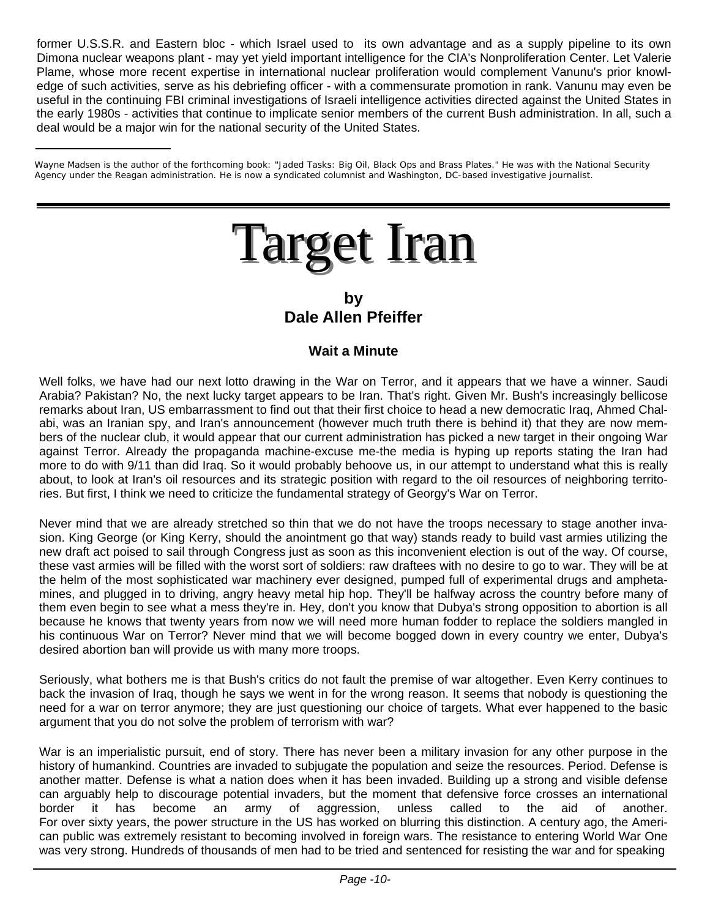former U.S.S.R. and Eastern bloc - which Israel used to its own advantage and as a supply pipeline to its own Dimona nuclear weapons plant - may yet yield important intelligence for the CIA's Nonproliferation Center. Let Valerie Plame, whose more recent expertise in international nuclear proliferation would complement Vanunu's prior knowledge of such activities, serve as his debriefing officer - with a commensurate promotion in rank. Vanunu may even be useful in the continuing FBI criminal investigations of Israeli intelligence activities directed against the United States in the early 1980s - activities that continue to implicate senior members of the current Bush administration. In all, such a deal would be a major win for the national security of the United States.

Wayne Madsen is the author of the forthcoming book: "Jaded Tasks: Big Oil, Black Ops and Brass Plates." He was with the National Security Agency under the Reagan administration. He is now a syndicated columnist and Washington, DC-based investigative journalist.

# **Target Iran**

**by Dale Allen Pfeiffer** 

#### **Wait a Minute**

Well folks, we have had our next lotto drawing in the War on Terror, and it appears that we have a winner. Saudi Arabia? Pakistan? No, the next lucky target appears to be Iran. That's right. Given Mr. Bush's increasingly bellicose remarks about Iran, US embarrassment to find out that their first choice to head a new democratic Iraq, Ahmed Chalabi, was an Iranian spy, and Iran's announcement (however much truth there is behind it) that they are now members of the nuclear club, it would appear that our current administration has picked a new target in their ongoing War against Terror. Already the propaganda machine-excuse me-the media is hyping up reports stating the Iran had more to do with 9/11 than did Iraq. So it would probably behoove us, in our attempt to understand what this is really about, to look at Iran's oil resources and its strategic position with regard to the oil resources of neighboring territories. But first, I think we need to criticize the fundamental strategy of Georgy's War on Terror.

Never mind that we are already stretched so thin that we do not have the troops necessary to stage another invasion. King George (or King Kerry, should the anointment go that way) stands ready to build vast armies utilizing the new draft act poised to sail through Congress just as soon as this inconvenient election is out of the way. Of course, these vast armies will be filled with the worst sort of soldiers: raw draftees with no desire to go to war. They will be at the helm of the most sophisticated war machinery ever designed, pumped full of experimental drugs and amphetamines, and plugged in to driving, angry heavy metal hip hop. They'll be halfway across the country before many of them even begin to see what a mess they're in. Hey, don't you know that Dubya's strong opposition to abortion is all because he knows that twenty years from now we will need more human fodder to replace the soldiers mangled in his continuous War on Terror? Never mind that we will become bogged down in every country we enter, Dubya's desired abortion ban will provide us with many more troops.

Seriously, what bothers me is that Bush's critics do not fault the premise of war altogether. Even Kerry continues to back the invasion of Iraq, though he says we went in for the wrong reason. It seems that nobody is questioning the need for a war on terror anymore; they are just questioning our choice of targets. What ever happened to the basic argument that you do not solve the problem of terrorism with war?

War is an imperialistic pursuit, end of story. There has never been a military invasion for any other purpose in the history of humankind. Countries are invaded to subjugate the population and seize the resources. Period. Defense is another matter. Defense is what a nation does when it has been invaded. Building up a strong and visible defense can arguably help to discourage potential invaders, but the moment that defensive force crosses an international border it has become an army of aggression, unless called to the aid of another. For over sixty years, the power structure in the US has worked on blurring this distinction. A century ago, the American public was extremely resistant to becoming involved in foreign wars. The resistance to entering World War One was very strong. Hundreds of thousands of men had to be tried and sentenced for resisting the war and for speaking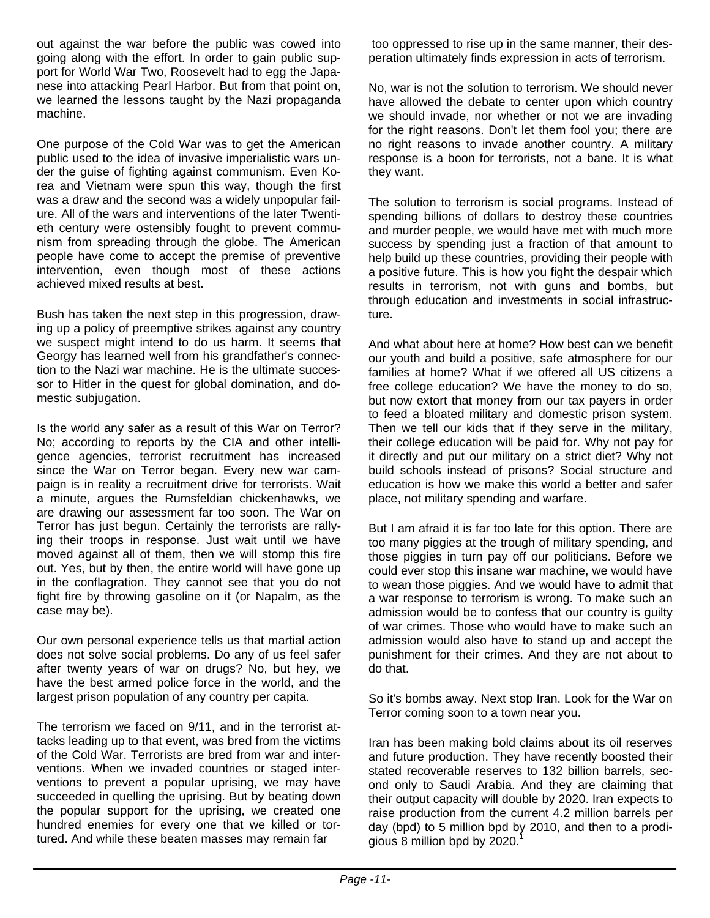out against the war before the public was cowed into going along with the effort. In order to gain public support for World War Two, Roosevelt had to egg the Japanese into attacking Pearl Harbor. But from that point on, we learned the lessons taught by the Nazi propaganda machine.

One purpose of the Cold War was to get the American public used to the idea of invasive imperialistic wars under the guise of fighting against communism. Even Korea and Vietnam were spun this way, though the first was a draw and the second was a widely unpopular failure. All of the wars and interventions of the later Twentieth century were ostensibly fought to prevent communism from spreading through the globe. The American people have come to accept the premise of preventive intervention, even though most of these actions achieved mixed results at best.

Bush has taken the next step in this progression, drawing up a policy of preemptive strikes against any country we suspect might intend to do us harm. It seems that Georgy has learned well from his grandfather's connection to the Nazi war machine. He is the ultimate successor to Hitler in the quest for global domination, and domestic subjugation.

Is the world any safer as a result of this War on Terror? No; according to reports by the CIA and other intelligence agencies, terrorist recruitment has increased since the War on Terror began. Every new war campaign is in reality a recruitment drive for terrorists. Wait a minute, argues the Rumsfeldian chickenhawks, we are drawing our assessment far too soon. The War on Terror has just begun. Certainly the terrorists are rallying their troops in response. Just wait until we have moved against all of them, then we will stomp this fire out. Yes, but by then, the entire world will have gone up in the conflagration. They cannot see that you do not fight fire by throwing gasoline on it (or Napalm, as the case may be).

Our own personal experience tells us that martial action does not solve social problems. Do any of us feel safer after twenty years of war on drugs? No, but hey, we have the best armed police force in the world, and the largest prison population of any country per capita.

The terrorism we faced on 9/11, and in the terrorist attacks leading up to that event, was bred from the victims of the Cold War. Terrorists are bred from war and interventions. When we invaded countries or staged interventions to prevent a popular uprising, we may have succeeded in quelling the uprising. But by beating down the popular support for the uprising, we created one hundred enemies for every one that we killed or tortured. And while these beaten masses may remain far

 too oppressed to rise up in the same manner, their desperation ultimately finds expression in acts of terrorism.

No, war is not the solution to terrorism. We should never have allowed the debate to center upon which country we should invade, nor whether or not we are invading for the right reasons. Don't let them fool you; there are no right reasons to invade another country. A military response is a boon for terrorists, not a bane. It is what they want.

The solution to terrorism is social programs. Instead of spending billions of dollars to destroy these countries and murder people, we would have met with much more success by spending just a fraction of that amount to help build up these countries, providing their people with a positive future. This is how you fight the despair which results in terrorism, not with guns and bombs, but through education and investments in social infrastructure.

And what about here at home? How best can we benefit our youth and build a positive, safe atmosphere for our families at home? What if we offered all US citizens a free college education? We have the money to do so, but now extort that money from our tax payers in order to feed a bloated military and domestic prison system. Then we tell our kids that if they serve in the military, their college education will be paid for. Why not pay for it directly and put our military on a strict diet? Why not build schools instead of prisons? Social structure and education is how we make this world a better and safer place, not military spending and warfare.

But I am afraid it is far too late for this option. There are too many piggies at the trough of military spending, and those piggies in turn pay off our politicians. Before we could ever stop this insane war machine, we would have to wean those piggies. And we would have to admit that a war response to terrorism is wrong. To make such an admission would be to confess that our country is guilty of war crimes. Those who would have to make such an admission would also have to stand up and accept the punishment for their crimes. And they are not about to do that.

So it's bombs away. Next stop Iran. Look for the War on Terror coming soon to a town near you.

Iran has been making bold claims about its oil reserves and future production. They have recently boosted their stated recoverable reserves to 132 billion barrels, second only to Saudi Arabia. And they are claiming that their output capacity will double by 2020. Iran expects to raise production from the current 4.2 million barrels per day (bpd) to 5 million bpd by 2010, and then to a prodigious 8 million bpd by  $2020.<sup>1</sup>$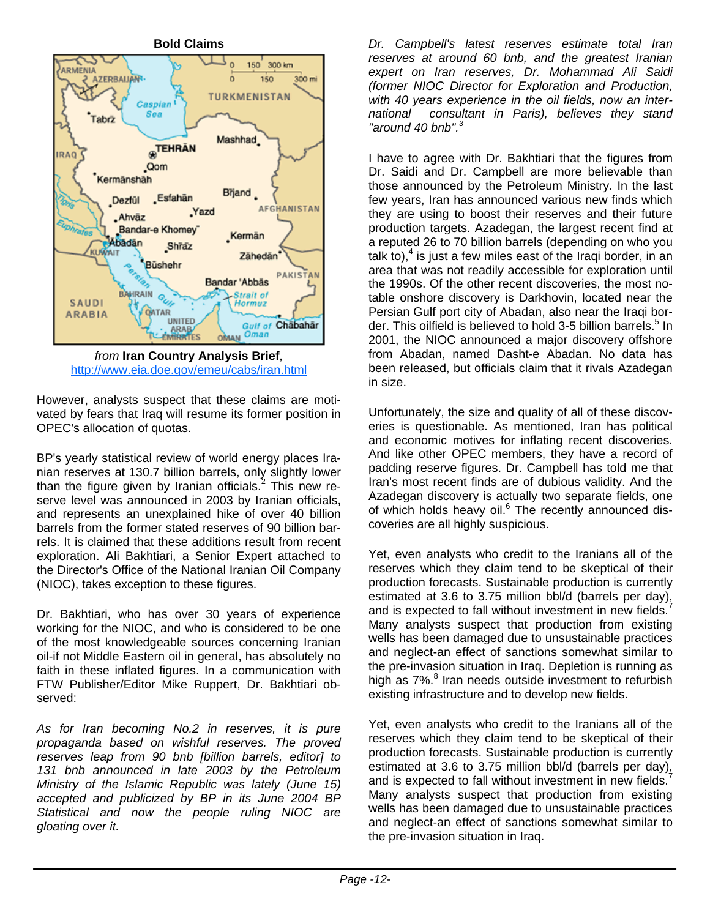**Bold Claims** ے ل 150 300 km RMENIA **AZERBAUANI**  $\ddot{\mathbf{0}}$ 150 300 mi TURKMENISTAN Caspian<sup>1</sup> Sea Tabrz Mashhad **STEHRAN IRAQ** .Qom Kermänshäh Brjand .Esfahān Dezfül **AFGHANISTAN** .Yazd "Ahvāz Bandar-e Khomey **Kermän** Abadan Shraz **CURVAIT** Zähedän os de la Büshehr **PAKISTAN** Bandar 'Abbās **BAHRAIN Strait of SAUDI** Hormuz OATAR **ARABIA UNITED** Gulf of Chabahar **ARAB** Oman **OMAN** *from* **Iran Country Analysis Brief**,

http://www.eia.doe.gov/emeu/cabs/iran.html

However, analysts suspect that these claims are motivated by fears that Iraq will resume its former position in OPEC's allocation of quotas.

BP's yearly statistical review of world energy places Iranian reserves at 130.7 billion barrels, only slightly lower than the figure given by Iranian officials. $^{2}$  This new reserve level was announced in 2003 by Iranian officials, and represents an unexplained hike of over 40 billion barrels from the former stated reserves of 90 billion barrels. It is claimed that these additions result from recent exploration. Ali Bakhtiari, a Senior Expert attached to the Director's Office of the National Iranian Oil Company (NIOC), takes exception to these figures.

Dr. Bakhtiari, who has over 30 years of experience working for the NIOC, and who is considered to be one of the most knowledgeable sources concerning Iranian oil-if not Middle Eastern oil in general, has absolutely no faith in these inflated figures. In a communication with FTW Publisher/Editor Mike Ruppert, Dr. Bakhtiari observed:

*As for Iran becoming No.2 in reserves, it is pure propaganda based on wishful reserves. The proved reserves leap from 90 bnb [billion barrels, editor] to 131 bnb announced in late 2003 by the Petroleum Ministry of the Islamic Republic was lately (June 15) accepted and publicized by BP in its June 2004 BP Statistical and now the people ruling NIOC are gloating over it.* 

*Dr. Campbell's latest reserves estimate total Iran reserves at around 60 bnb, and the greatest Iranian expert on Iran reserves, Dr. Mohammad Ali Saidi (former NIOC Director for Exploration and Production, with 40 years experience in the oil fields, now an international consultant in Paris), believes they stand "around 40 bnb".<sup>3</sup>*

I have to agree with Dr. Bakhtiari that the figures from Dr. Saidi and Dr. Campbell are more believable than those announced by the Petroleum Ministry. In the last few years, Iran has announced various new finds which they are using to boost their reserves and their future production targets. Azadegan, the largest recent find at a reputed 26 to 70 billion barrels (depending on who you talk to), $4$  is just a few miles east of the Iraqi border, in an area that was not readily accessible for exploration until the 1990s. Of the other recent discoveries, the most notable onshore discovery is Darkhovin, located near the Persian Gulf port city of Abadan, also near the Iraqi border. This oilfield is believed to hold 3-5 billion barrels.<sup>5</sup> In 2001, the NIOC announced a major discovery offshore from Abadan, named Dasht-e Abadan. No data has been released, but officials claim that it rivals Azadegan in size.

Unfortunately, the size and quality of all of these discoveries is questionable. As mentioned, Iran has political and economic motives for inflating recent discoveries. And like other OPEC members, they have a record of padding reserve figures. Dr. Campbell has told me that Iran's most recent finds are of dubious validity. And the Azadegan discovery is actually two separate fields, one of which holds heavy oil.<sup>6</sup> The recently announced discoveries are all highly suspicious.

Yet, even analysts who credit to the Iranians all of the reserves which they claim tend to be skeptical of their production forecasts. Sustainable production is currently estimated at 3.6 to 3.75 million bbl/d (barrels per day), and is expected to fall without investment in new fields. Many analysts suspect that production from existing wells has been damaged due to unsustainable practices and neglect-an effect of sanctions somewhat similar to the pre-invasion situation in Iraq. Depletion is running as high as 7%.<sup>8</sup> Iran needs outside investment to refurbish existing infrastructure and to develop new fields.

Yet, even analysts who credit to the Iranians all of the reserves which they claim tend to be skeptical of their production forecasts. Sustainable production is currently estimated at 3.6 to 3.75 million bbl/d (barrels per day), and is expected to fall without investment in new fields. Many analysts suspect that production from existing wells has been damaged due to unsustainable practices and neglect-an effect of sanctions somewhat similar to the pre-invasion situation in Iraq.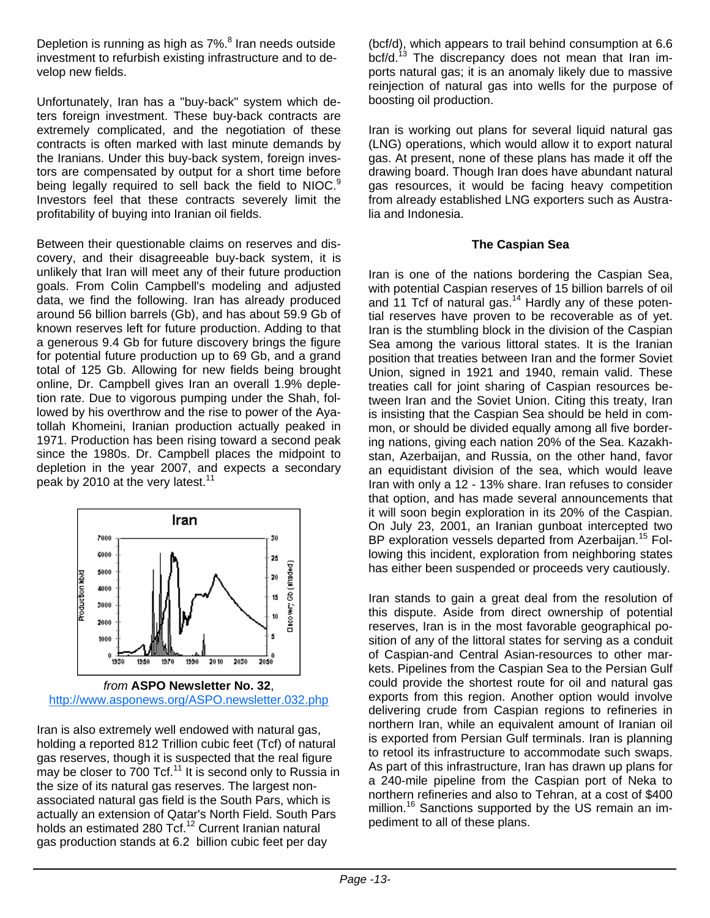Depletion is running as high as 7%.<sup>8</sup> Iran needs outside investment to refurbish existing infrastructure and to develop new fields.

Unfortunately, Iran has a "buy-back" system which deters foreign investment. These buy-back contracts are extremely complicated, and the negotiation of these contracts is often marked with last minute demands by the Iranians. Under this buy-back system, foreign investors are compensated by output for a short time before being legally required to sell back the field to NIOC.<sup>9</sup> Investors feel that these contracts severely limit the profitability of buying into Iranian oil fields.

Between their questionable claims on reserves and discovery, and their disagreeable buy-back system, it is unlikely that Iran will meet any of their future production goals. From Colin Campbell's modeling and adjusted data, we find the following. Iran has already produced around 56 billion barrels (Gb), and has about 59.9 Gb of known reserves left for future production. Adding to that a generous 9.4 Gb for future discovery brings the figure for potential future production up to 69 Gb, and a grand total of 125 Gb. Allowing for new fields being brought online, Dr. Campbell gives Iran an overall 1.9% depletion rate. Due to vigorous pumping under the Shah, followed by his overthrow and the rise to power of the Ayatollah Khomeini, Iranian production actually peaked in 1971. Production has been rising toward a second peak since the 1980s. Dr. Campbell places the midpoint to depletion in the year 2007, and expects a secondary peak by 2010 at the very latest.<sup>11</sup>



*from* **ASPO Newsletter No. 32**, http://www.asponews.org/ASPO.newsletter.032.php

Iran is also extremely well endowed with natural gas, holding a reported 812 Trillion cubic feet (Tcf) of natural gas reserves, though it is suspected that the real figure may be closer to  $700$  Tcf.<sup>11</sup> It is second only to Russia in the size of its natural gas reserves. The largest nonassociated natural gas field is the South Pars, which is actually an extension of Qatar's North Field. South Pars holds an estimated 280 Tcf.<sup>12</sup> Current Iranian natural gas production stands at 6.2 billion cubic feet per day

(bcf/d), which appears to trail behind consumption at 6.6 bcf/d.<sup>13</sup> The discrepancy does not mean that Iran imports natural gas; it is an anomaly likely due to massive reinjection of natural gas into wells for the purpose of boosting oil production.

Iran is working out plans for several liquid natural gas (LNG) operations, which would allow it to export natural gas. At present, none of these plans has made it off the drawing board. Though Iran does have abundant natural gas resources, it would be facing heavy competition from already established LNG exporters such as Australia and Indonesia.

#### **The Caspian Sea**

Iran is one of the nations bordering the Caspian Sea, with potential Caspian reserves of 15 billion barrels of oil and 11 Tcf of natural gas.<sup>14</sup> Hardly any of these potential reserves have proven to be recoverable as of yet. Iran is the stumbling block in the division of the Caspian Sea among the various littoral states. It is the Iranian position that treaties between Iran and the former Soviet Union, signed in 1921 and 1940, remain valid. These treaties call for joint sharing of Caspian resources between Iran and the Soviet Union. Citing this treaty, Iran is insisting that the Caspian Sea should be held in common, or should be divided equally among all five bordering nations, giving each nation 20% of the Sea. Kazakhstan, Azerbaijan, and Russia, on the other hand, favor an equidistant division of the sea, which would leave Iran with only a 12 - 13% share. Iran refuses to consider that option, and has made several announcements that it will soon begin exploration in its 20% of the Caspian. On July 23, 2001, an Iranian gunboat intercepted two BP exploration vessels departed from Azerbaijan.<sup>15</sup> Following this incident, exploration from neighboring states has either been suspended or proceeds very cautiously.

Iran stands to gain a great deal from the resolution of this dispute. Aside from direct ownership of potential reserves, Iran is in the most favorable geographical position of any of the littoral states for serving as a conduit of Caspian-and Central Asian-resources to other markets. Pipelines from the Caspian Sea to the Persian Gulf could provide the shortest route for oil and natural gas exports from this region. Another option would involve delivering crude from Caspian regions to refineries in northern Iran, while an equivalent amount of Iranian oil is exported from Persian Gulf terminals. Iran is planning to retool its infrastructure to accommodate such swaps. As part of this infrastructure, Iran has drawn up plans for a 240-mile pipeline from the Caspian port of Neka to northern refineries and also to Tehran, at a cost of \$400 million.<sup>16</sup> Sanctions supported by the US remain an impediment to all of these plans.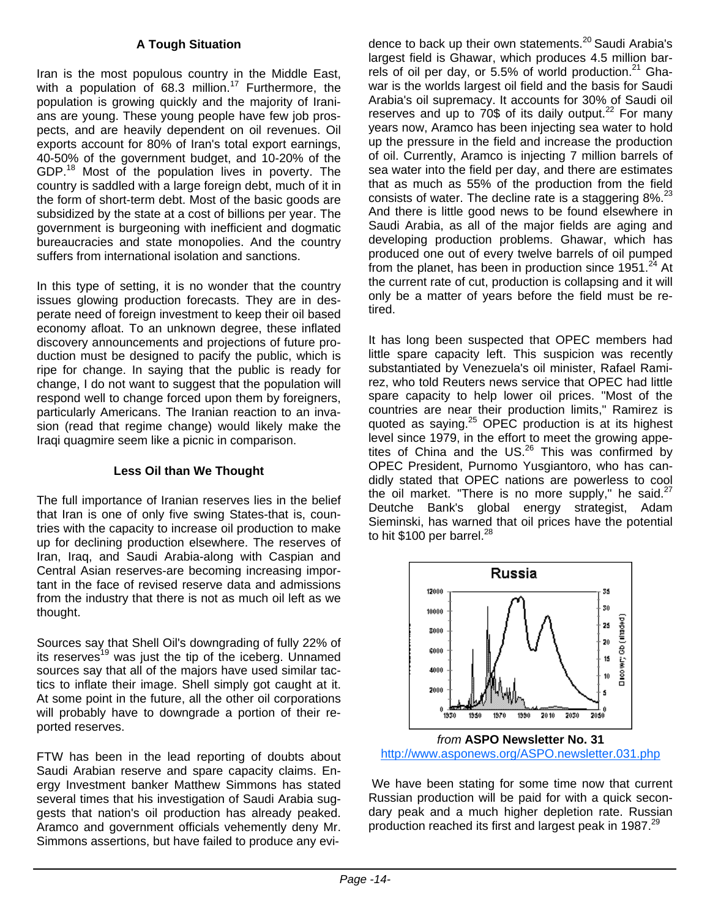#### **A Tough Situation**

Iran is the most populous country in the Middle East, with a population of  $68.3$  million.<sup>17</sup> Furthermore, the population is growing quickly and the majority of Iranians are young. These young people have few job prospects, and are heavily dependent on oil revenues. Oil exports account for 80% of Iran's total export earnings, 40-50% of the government budget, and 10-20% of the GDP.<sup>18</sup> Most of the population lives in poverty. The country is saddled with a large foreign debt, much of it in the form of short-term debt. Most of the basic goods are subsidized by the state at a cost of billions per year. The government is burgeoning with inefficient and dogmatic bureaucracies and state monopolies. And the country suffers from international isolation and sanctions.

In this type of setting, it is no wonder that the country issues glowing production forecasts. They are in desperate need of foreign investment to keep their oil based economy afloat. To an unknown degree, these inflated discovery announcements and projections of future production must be designed to pacify the public, which is ripe for change. In saying that the public is ready for change, I do not want to suggest that the population will respond well to change forced upon them by foreigners, particularly Americans. The Iranian reaction to an invasion (read that regime change) would likely make the Iraqi quagmire seem like a picnic in comparison.

#### **Less Oil than We Thought**

The full importance of Iranian reserves lies in the belief that Iran is one of only five swing States-that is, countries with the capacity to increase oil production to make up for declining production elsewhere. The reserves of Iran, Iraq, and Saudi Arabia-along with Caspian and Central Asian reserves-are becoming increasing important in the face of revised reserve data and admissions from the industry that there is not as much oil left as we thought.

Sources say that Shell Oil's downgrading of fully 22% of its reserves<sup>19</sup> was just the tip of the iceberg. Unnamed sources say that all of the majors have used similar tactics to inflate their image. Shell simply got caught at it. At some point in the future, all the other oil corporations will probably have to downgrade a portion of their reported reserves.

FTW has been in the lead reporting of doubts about Saudi Arabian reserve and spare capacity claims. Energy Investment banker Matthew Simmons has stated several times that his investigation of Saudi Arabia suggests that nation's oil production has already peaked. Aramco and government officials vehemently deny Mr. Simmons assertions, but have failed to produce any evidence to back up their own statements.<sup>20</sup> Saudi Arabia's largest field is Ghawar, which produces 4.5 million barrels of oil per day, or  $5.5\%$  of world production.<sup>21</sup> Ghawar is the worlds largest oil field and the basis for Saudi Arabia's oil supremacy. It accounts for 30% of Saudi oil reserves and up to  $70\$  of its daily output.<sup>22</sup> For many years now, Aramco has been injecting sea water to hold up the pressure in the field and increase the production of oil. Currently, Aramco is injecting 7 million barrels of sea water into the field per day, and there are estimates that as much as 55% of the production from the field consists of water. The decline rate is a staggering  $8\%$ <sup>23</sup> And there is little good news to be found elsewhere in Saudi Arabia, as all of the major fields are aging and developing production problems. Ghawar, which has produced one out of every twelve barrels of oil pumped from the planet, has been in production since  $1951<sup>24</sup>$  At the current rate of cut, production is collapsing and it will only be a matter of years before the field must be retired.

It has long been suspected that OPEC members had little spare capacity left. This suspicion was recently substantiated by Venezuela's oil minister, Rafael Ramirez, who told Reuters news service that OPEC had little spare capacity to help lower oil prices. "Most of the countries are near their production limits," Ramirez is quoted as saying.<sup>25</sup> OPEC production is at its highest level since 1979, in the effort to meet the growing appetites of China and the  $US<sup>26</sup>$  This was confirmed by OPEC President, Purnomo Yusgiantoro, who has candidly stated that OPEC nations are powerless to cool the oil market. "There is no more supply," he said. $27$ Deutche Bank's global energy strategist, Adam Sieminski, has warned that oil prices have the potential to hit \$100 per barrel. $^{28}$ 



http://www.asponews.org/ASPO.newsletter.031.php

 We have been stating for some time now that current Russian production will be paid for with a quick secondary peak and a much higher depletion rate. Russian production reached its first and largest peak in 1987.<sup>29</sup>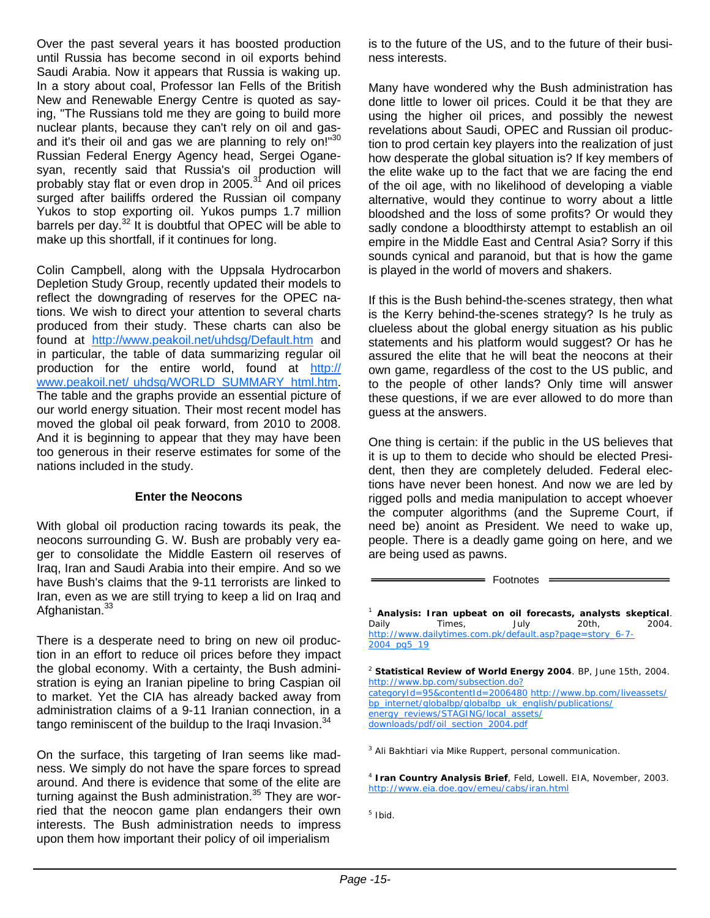Over the past several years it has boosted production until Russia has become second in oil exports behind Saudi Arabia. Now it appears that Russia is waking up. In a story about coal, Professor Ian Fells of the British New and Renewable Energy Centre is quoted as saying, "The Russians told me they are going to build more nuclear plants, because they can't rely on oil and gasand it's their oil and gas we are planning to rely on!"30 Russian Federal Energy Agency head, Sergei Oganesyan, recently said that Russia's oil production will probably stay flat or even drop in 2005.<sup>31</sup> And oil prices surged after bailiffs ordered the Russian oil company Yukos to stop exporting oil. Yukos pumps 1.7 million barrels per day.<sup>32</sup> It is doubtful that OPEC will be able to make up this shortfall, if it continues for long.

Colin Campbell, along with the Uppsala Hydrocarbon Depletion Study Group, recently updated their models to reflect the downgrading of reserves for the OPEC nations. We wish to direct your attention to several charts produced from their study. These charts can also be found at http://www.peakoil.net/uhdsg/Default.htm and in particular, the table of data summarizing regular oil production for the entire world, found at http:// www.peakoil.net/ uhdsg/WORLD\_SUMMARY\_html.htm. The table and the graphs provide an essential picture of our world energy situation. Their most recent model has moved the global oil peak forward, from 2010 to 2008. And it is beginning to appear that they may have been too generous in their reserve estimates for some of the nations included in the study.

#### **Enter the Neocons**

With global oil production racing towards its peak, the neocons surrounding G. W. Bush are probably very eager to consolidate the Middle Eastern oil reserves of Iraq, Iran and Saudi Arabia into their empire. And so we have Bush's claims that the 9-11 terrorists are linked to Iran, even as we are still trying to keep a lid on Iraq and Afghanistan.<sup>33</sup>

There is a desperate need to bring on new oil production in an effort to reduce oil prices before they impact the global economy. With a certainty, the Bush administration is eying an Iranian pipeline to bring Caspian oil to market. Yet the CIA has already backed away from administration claims of a 9-11 Iranian connection, in a tango reminiscent of the buildup to the Iraqi Invasion. $34$ 

On the surface, this targeting of Iran seems like madness. We simply do not have the spare forces to spread around. And there is evidence that some of the elite are turning against the Bush administration. $35$  They are worried that the neocon game plan endangers their own interests. The Bush administration needs to impress upon them how important their policy of oil imperialism

is to the future of the US, and to the future of their business interests.

Many have wondered why the Bush administration has done little to lower oil prices. Could it be that they are using the higher oil prices, and possibly the newest revelations about Saudi, OPEC and Russian oil production to prod certain key players into the realization of just how desperate the global situation is? If key members of the elite wake up to the fact that we are facing the end of the oil age, with no likelihood of developing a viable alternative, would they continue to worry about a little bloodshed and the loss of some profits? Or would they sadly condone a bloodthirsty attempt to establish an oil empire in the Middle East and Central Asia? Sorry if this sounds cynical and paranoid, but that is how the game is played in the world of movers and shakers.

If this is the Bush behind-the-scenes strategy, then what is the Kerry behind-the-scenes strategy? Is he truly as clueless about the global energy situation as his public statements and his platform would suggest? Or has he assured the elite that he will beat the neocons at their own game, regardless of the cost to the US public, and to the people of other lands? Only time will answer these questions, if we are ever allowed to do more than guess at the answers.

One thing is certain: if the public in the US believes that it is up to them to decide who should be elected President, then they are completely deluded. Federal elections have never been honest. And now we are led by rigged polls and media manipulation to accept whoever the computer algorithms (and the Supreme Court, if need be) anoint as President. We need to wake up, people. There is a deadly game going on here, and we are being used as pawns.

= Footnotes =

<sup>1</sup> **Analysis: Iran upbeat on oil forecasts, analysts skeptical**. Daily Times, July 20th, 2004. http://www.dailytimes.com.pk/default.asp?page=story\_6-7-2004\_pg5\_19

<sup>2</sup> **Statistical Review of World Energy 2004**. BP, June 15th, 2004. http://www.bp.com/subsection.do? categoryId=95&contentId=2006480 http://www.bp.com/liveassets/ bp\_internet/globalbp/globalbp\_uk\_english/publications/ energy\_reviews/STAGING/local\_assets/ downloads/pdf/oil\_section\_2004.pdf

<sup>3</sup> Ali Bakhtiari via Mike Ruppert, personal communication.

<sup>4</sup> **Iran Country Analysis Brief**, Feld, Lowell. EIA, November, 2003. http://www.eia.doe.gov/emeu/cabs/iran.html

<sup>5</sup> Ibid.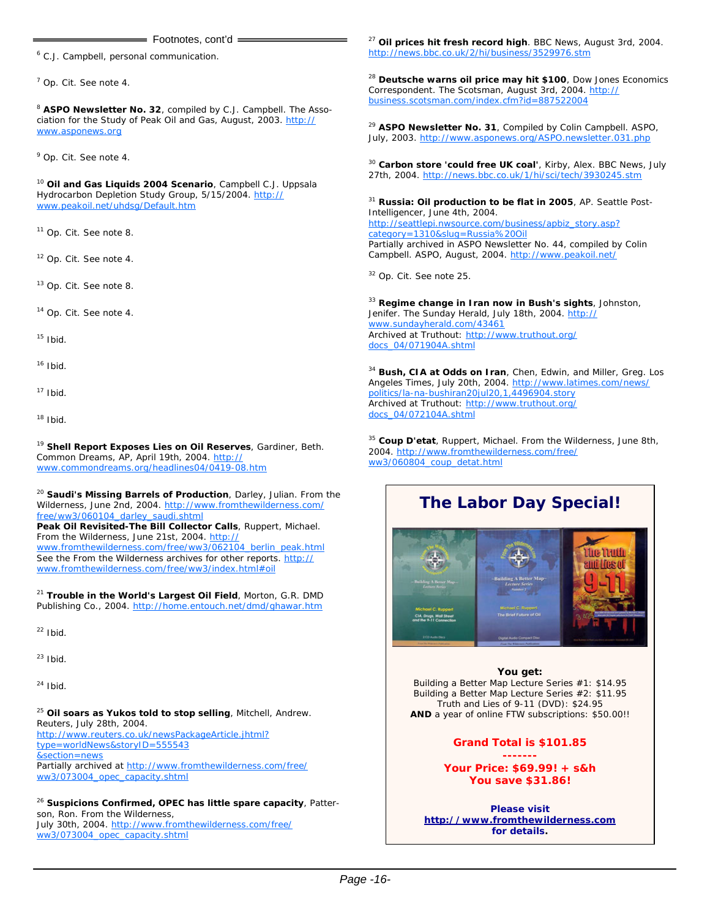#### Footnotes, cont'd =

<sup>6</sup> C.J. Campbell, personal communication.

<sup>7</sup> Op. Cit. See note 4.

<sup>8</sup> **ASPO Newsletter No. 32**, compiled by C.J. Campbell. The Association for the Study of Peak Oil and Gas, August, 2003. http:// www.asponews.org

9 Op. Cit. See note 4.

<sup>10</sup> **Oil and Gas Liquids 2004 Scenario**, Campbell C.J. Uppsala Hydrocarbon Depletion Study Group, 5/15/2004. http:// www.peakoil.net/uhdsg/Default.htm

11 Op. Cit. See note 8.

12 Op. Cit. See note 4.

13 Op. Cit. See note 8.

14 Op. Cit. See note 4.

 $15$  Ibid.

 $16$  Ibid.

 $17$  Ibid.

 $18$  Ibid.

<sup>19</sup> **Shell Report Exposes Lies on Oil Reserves**, Gardiner, Beth. Common Dreams, AP, April 19th, 2004. http:// www.commondreams.org/headlines04/0419-08.htm

<sup>20</sup> **Saudi's Missing Barrels of Production**, Darley, Julian. From the Wilderness, June 2nd, 2004. http://www.fromthewilderness.com/ free/ww3/060104\_darley\_saudi.shtml

**Peak Oil Revisited-The Bill Collector Calls**, Ruppert, Michael. From the Wilderness, June 21st, 2004. http:// www.fromthewilderness.com/free/ww3/062104\_berlin\_peak.html

See the From the Wilderness archives for other reports. http:// www.fromthewilderness.com/free/ww3/index.html#oil

<sup>21</sup> **Trouble in the World's Largest Oil Field**, Morton, G.R. DMD Publishing Co., 2004. http://home.entouch.net/dmd/ghawar.htm

 $22$  Ibid.

 $23$  Ibid.

 $24$  Ibid.

<sup>25</sup> **Oil soars as Yukos told to stop selling**, Mitchell, Andrew. Reuters, July 28th, 2004. http://www.reuters.co.uk/newsPackageArticle.jhtml? type=worldNews&storyID=555543 &section=news Partially archived at http://www.fromthewilderness.com/free/ ww3/073004\_opec\_capacity.shtml

<sup>26</sup> **Suspicions Confirmed, OPEC has little spare capacity**, Patterson, Ron. From the Wilderness, July 30th, 2004. http://www.fromthewilderness.com/free/ ww3/073004\_opec\_capacity.shtml

<sup>27</sup> **Oil prices hit fresh record high**. BBC News, August 3rd, 2004. http://news.bbc.co.uk/2/hi/business/3529976.stm

<sup>28</sup> **Deutsche warns oil price may hit \$100**, Dow Jones Economics Correspondent. The Scotsman, August 3rd, 2004. http:// business.scotsman.com/index.cfm?id=887522004

<sup>29</sup> **ASPO Newsletter No. 31**, Compiled by Colin Campbell. ASPO, July, 2003. http://www.asponews.org/ASPO.newsletter.031.php

<sup>30</sup> **Carbon store 'could free UK coal'**, Kirby, Alex. BBC News, July 27th, 2004. http://news.bbc.co.uk/1/hi/sci/tech/3930245.stm

<sup>31</sup> **Russia: Oil production to be flat in 2005**, AP. Seattle Post-Intelligencer, June 4th, 2004. http://seattlepi.nwsource.com/business/apbiz\_story.asp? category=1310&slug=Russia%20Oil Partially archived in ASPO Newsletter No. 44, compiled by Colin Campbell. ASPO, August, 2004. http://www.peakoil.net/

32 Op. Cit. See note 25.

<sup>33</sup> **Regime change in Iran now in Bush's sights**, Johnston, Jenifer. The Sunday Herald, July 18th, 2004. http:// www.sundayherald.com/43461 Archived at Truthout: http://www.truthout.org/ docs\_04/071904A.shtml

<sup>34</sup> **Bush, CIA at Odds on Iran**, Chen, Edwin, and Miller, Greg. Los Angeles Times, July 20th, 2004. http://www.latimes.com/news/ politics/la-na-bushiran20jul20,1,4496904.story Archived at Truthout: http://www.truthout.org/ docs\_04/072104A.shtml

<sup>35</sup> **Coup D'etat**, Ruppert, Michael. From the Wilderness, June 8th, 2004. http://www.fromthewilderness.com/free/ ww3/060804\_coup\_detat.html



#### **You get:**

Building a Better Map Lecture Series #1: \$14.95 Building a Better Map Lecture Series #2: \$11.95 Truth and Lies of 9-11 (DVD): \$24.95 **AND** a year of online FTW subscriptions: \$50.00!!

#### *Grand Total is \$101.85*

*------- Your Price: \$69.99! + s&h You save \$31.86!* 

**Please visit http://www.fromthewilderness.com for details.**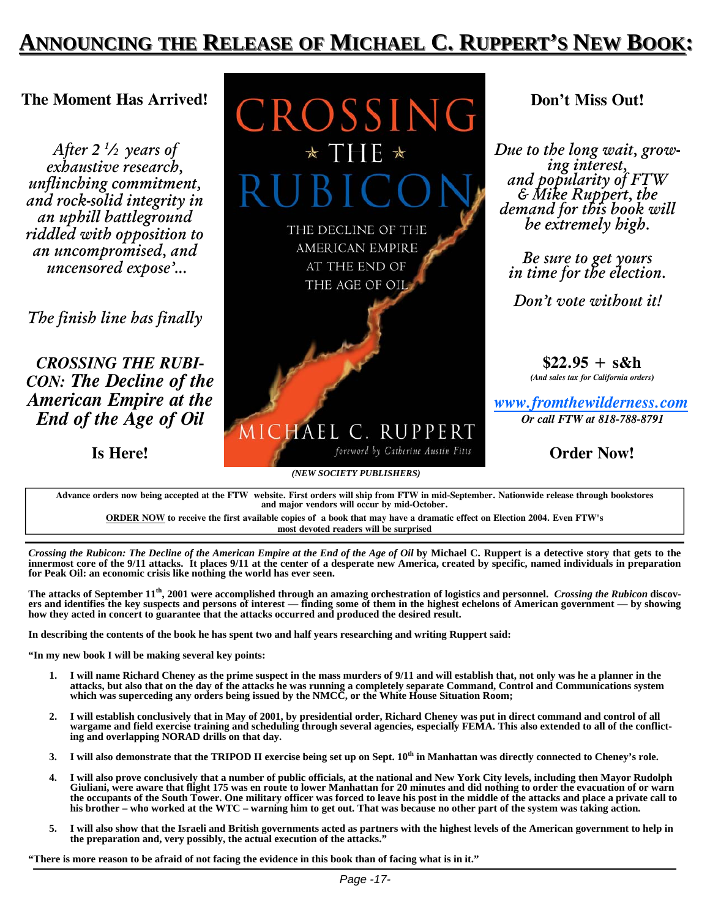## **ANNOUNCING NNOUNCING THE RELEASE OF MICHAEL C. RUPPERT'S NEW BOOK:**

#### **The Moment Has Arrived!**

*After 2 1 /2 years of exhaustive research, unflinching commitment, and rock-solid integrity in an uphill battleground riddled with opposition to an uncompromised, and uncensored expose'...* 

*The finish line has finally* 

*CROSSING THE RUBI-CON: The Decline of the American Empire at the End of the Age of Oil* 

**Is Here!**

CROSSING THE DECLINE OF THE AMERICAN EMPIRE AT THE END OF THE AGE OF OIL MICHAEL C. RUPPERT

## **Don't Miss Out!**

*Due to the long wait, grow- ing interest, and popularity of FTW & Mike Ruppert, the demand for this book will be extremely high.*

*Be sure to get yours in time for the election.* 

*Don't vote without it!*

**\$22.95 + s&h**  *(And sales tax for California orders)* 

*www.fromthewilderness.com Or call FTW at 818-788-8791* 

**Order Now!**

**Advance orders now being accepted at the FTW website. First orders will ship from FTW in mid-September. Nationwide release through bookstores and major vendors will occur by mid-October.**

*(NEW SOCIETY PUBLISHERS)*

foreword by Catherine Austin Fitts

**ORDER NOW to receive the first available copies of a book that may have a dramatic effect on Election 2004. Even FTW's most devoted readers will be surprised** 

*Crossing the Rubicon: The Decline of the American Empire at the End of the Age of Oil by Michael C. Ruppert is a detective story that gets to the* **innermost core of the 9/11 attacks. It places 9/11 at the center of a desperate new America, created by specific, named individuals in preparation for Peak Oil: an economic crisis like nothing the world has ever seen.** 

**The attacks of September 11th, 2001 were accomplished through an amazing orchestration of logistics and personnel.** *Crossing the Rubicon* **discovers and identifies the key suspects and persons of interest — finding some of them in the highest echelons of American government — by showing how they acted in concert to guarantee that the attacks occurred and produced the desired result.** 

**In describing the contents of the book he has spent two and half years researching and writing Ruppert said:** 

**"In my new book I will be making several key points:** 

- **1. I will name Richard Cheney as the prime suspect in the mass murders of 9/11 and will establish that, not only was he a planner in the**  attacks, but also that on the day of the attacks he was running a completely separate Command, Control and Communications system<br>which was superceding any orders being issued by the NMCC, or the White House Situation Room;
- **wargame and field exercise training and scheduling through several agencies, especially FEMA. This also extended to all of the conflict-**
- 
- 3. I will also demonstrate that the TRIPOD II exercise being set up on Sept. 10<sup>th</sup> in Manhattan was directly connected to Cheney's role.<br>4. I will also prove conclusively that a number of public officials, at the national the occupants of the South Tower. One military officer was forced to leave his post in the middle of the attacks and place a private call to his brother – who worked at the WTC – warning him to get out. That was because no
- 5. I will also show that the Israeli and British governments acted as partners with the highest levels of the American government to help in **the preparation and, very possibly, the actual execution of the attacks."**

**"There is more reason to be afraid of not facing the evidence in this book than of facing what is in it."**